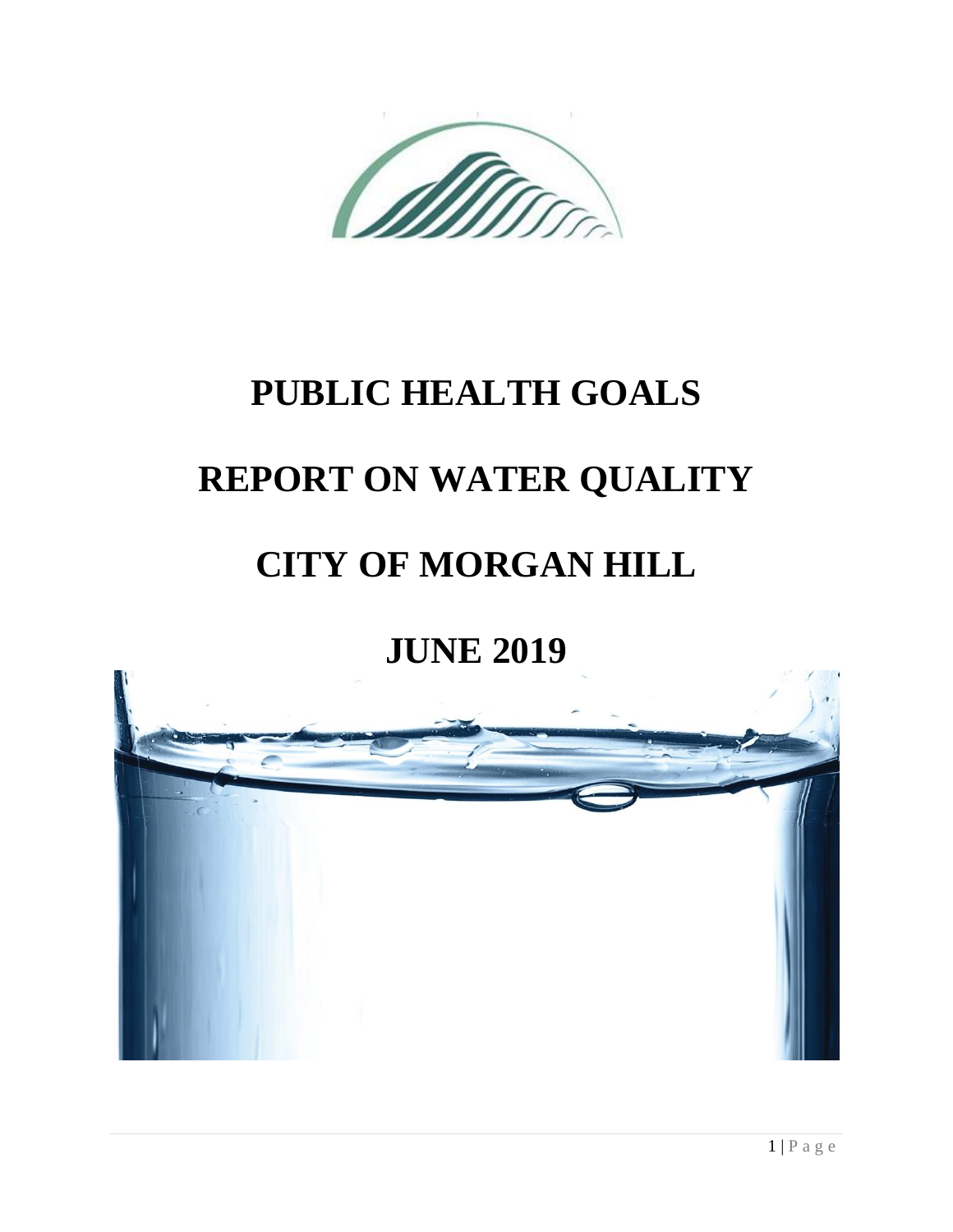# **PUBLIC HEALTH GOALS**

# **REPORT ON WATER QUALITY**

# **CITY OF MORGAN HILL**

# **JUNE 2019**

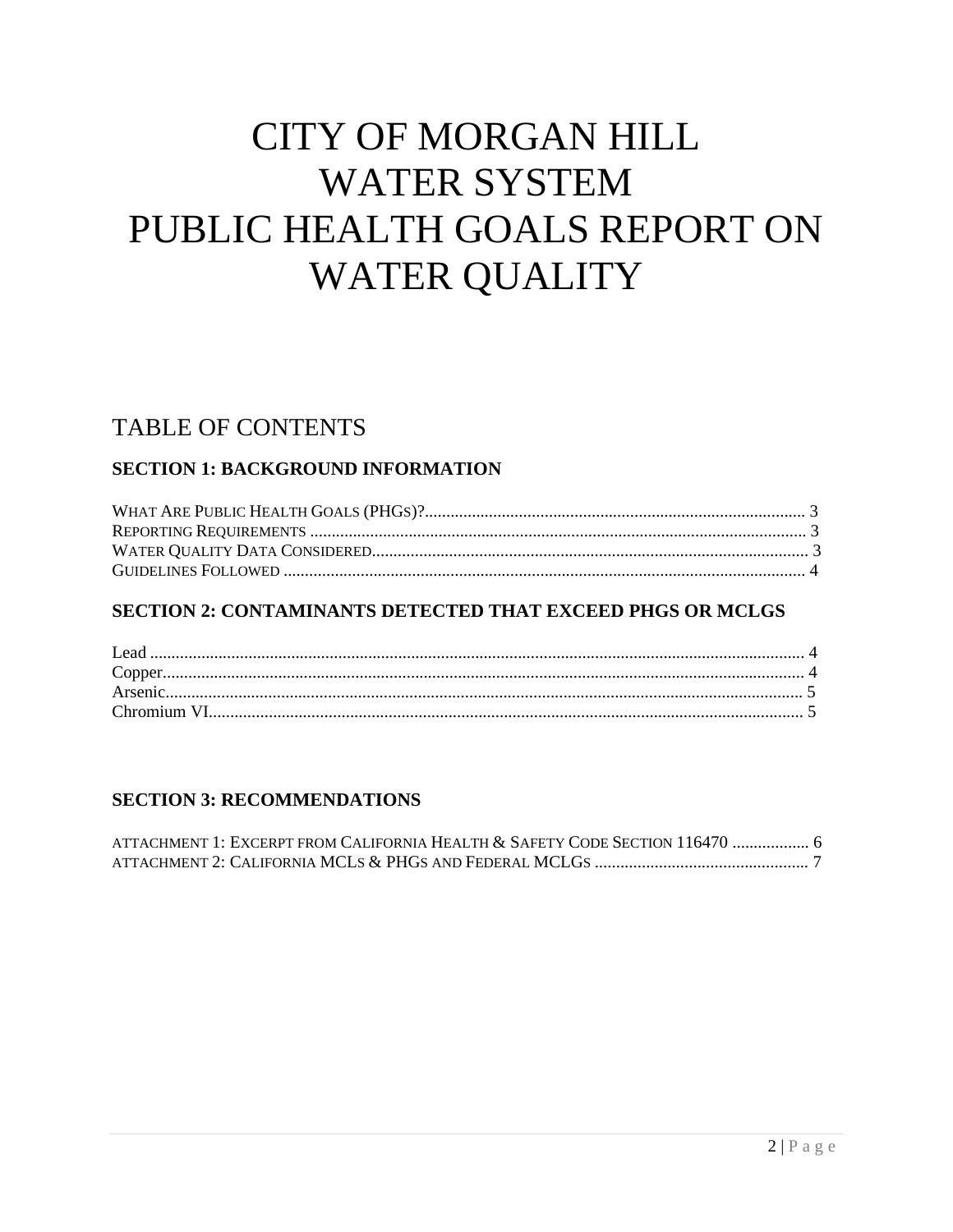# **CITY OF MORGAN HILL WATER SYSTEM** PUBLIC HEALTH GOALS REPORT ON **WATER QUALITY**

# **TABLE OF CONTENTS**

### **SECTION 1: BACKGROUND INFORMATION**

### **SECTION 2: CONTAMINANTS DETECTED THAT EXCEED PHGS OR MCLGS**

#### **SECTION 3: RECOMMENDATIONS**

| ATTACHMENT 1: EXCERPT FROM CALIFORNIA HEALTH & SAFETY CODE SECTION 116470  6 |  |
|------------------------------------------------------------------------------|--|
|                                                                              |  |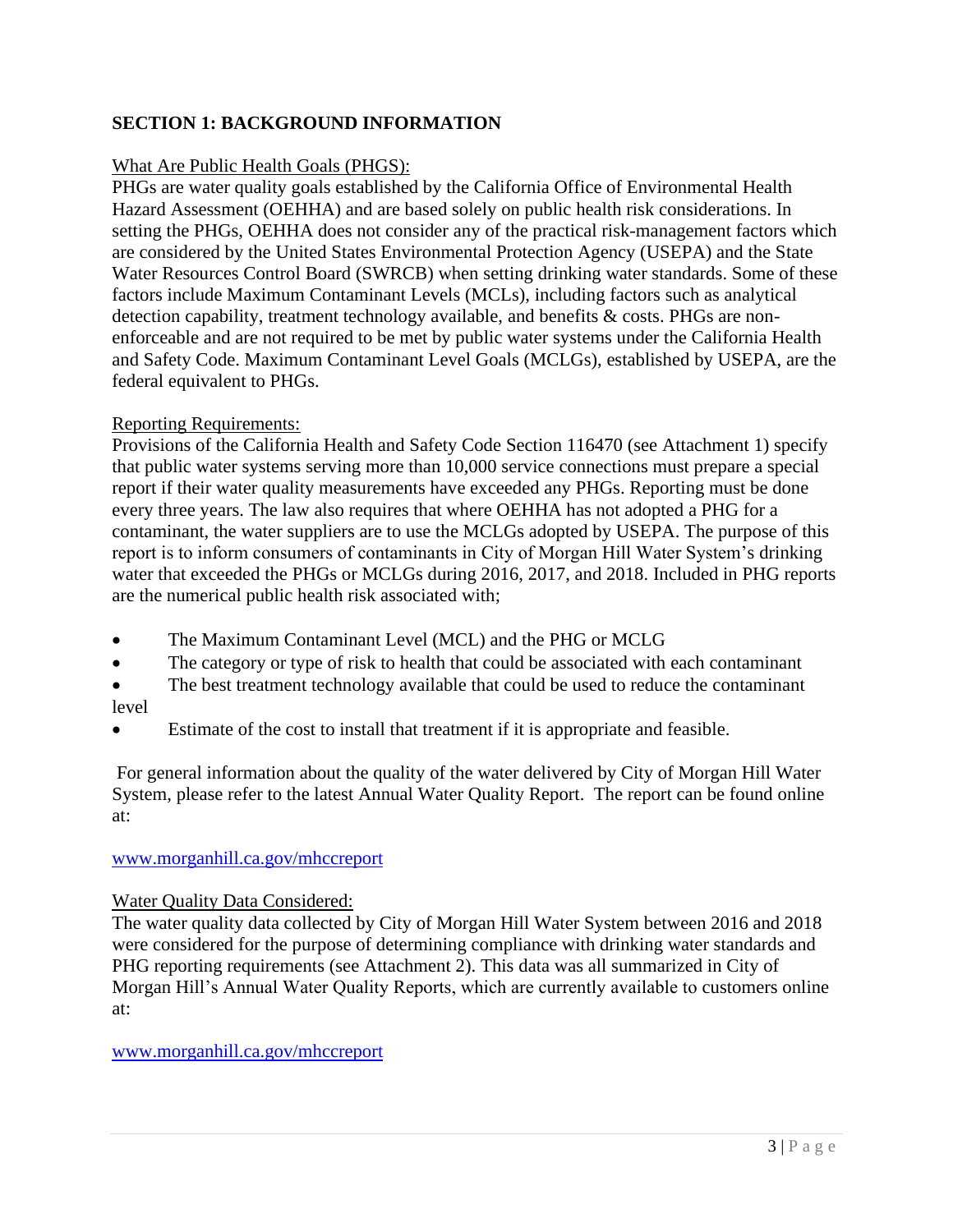### **SECTION 1: BACKGROUND INFORMATION**

#### What Are Public Health Goals (PHGS):

PHGs are water quality goals established by the California Office of Environmental Health Hazard Assessment (OEHHA) and are based solely on public health risk considerations. In setting the PHGs, OEHHA does not consider any of the practical risk-management factors which are considered by the United States Environmental Protection Agency (USEPA) and the State Water Resources Control Board (SWRCB) when setting drinking water standards. Some of these factors include Maximum Contaminant Levels (MCLs), including factors such as analytical detection capability, treatment technology available, and benefits & costs. PHGs are nonenforceable and are not required to be met by public water systems under the California Health and Safety Code. Maximum Contaminant Level Goals (MCLGs), established by USEPA, are the federal equivalent to PHGs.

#### Reporting Requirements:

Provisions of the California Health and Safety Code Section 116470 (see Attachment 1) specify that public water systems serving more than 10,000 service connections must prepare a special report if their water quality measurements have exceeded any PHGs. Reporting must be done every three years. The law also requires that where OEHHA has not adopted a PHG for a contaminant, the water suppliers are to use the MCLGs adopted by USEPA. The purpose of this report is to inform consumers of contaminants in City of Morgan Hill Water System's drinking water that exceeded the PHGs or MCLGs during 2016, 2017, and 2018. Included in PHG reports are the numerical public health risk associated with;

- The Maximum Contaminant Level (MCL) and the PHG or MCLG
- The category or type of risk to health that could be associated with each contaminant
- The best treatment technology available that could be used to reduce the contaminant level
- Estimate of the cost to install that treatment if it is appropriate and feasible.

For general information about the quality of the water delivered by City of Morgan Hill Water System, please refer to the latest Annual Water Quality Report. The report can be found online at:

#### [www.morganhill.ca.gov/mhccreport](http://www.morganhill.ca.gov/mhccreport)

#### Water Quality Data Considered:

The water quality data collected by City of Morgan Hill Water System between 2016 and 2018 were considered for the purpose of determining compliance with drinking water standards and PHG reporting requirements (see Attachment 2). This data was all summarized in City of Morgan Hill's Annual Water Quality Reports, which are currently available to customers online at:

#### [www.morganhill.ca.gov/mhccreport](http://www.morganhill.ca.gov/mhccreport)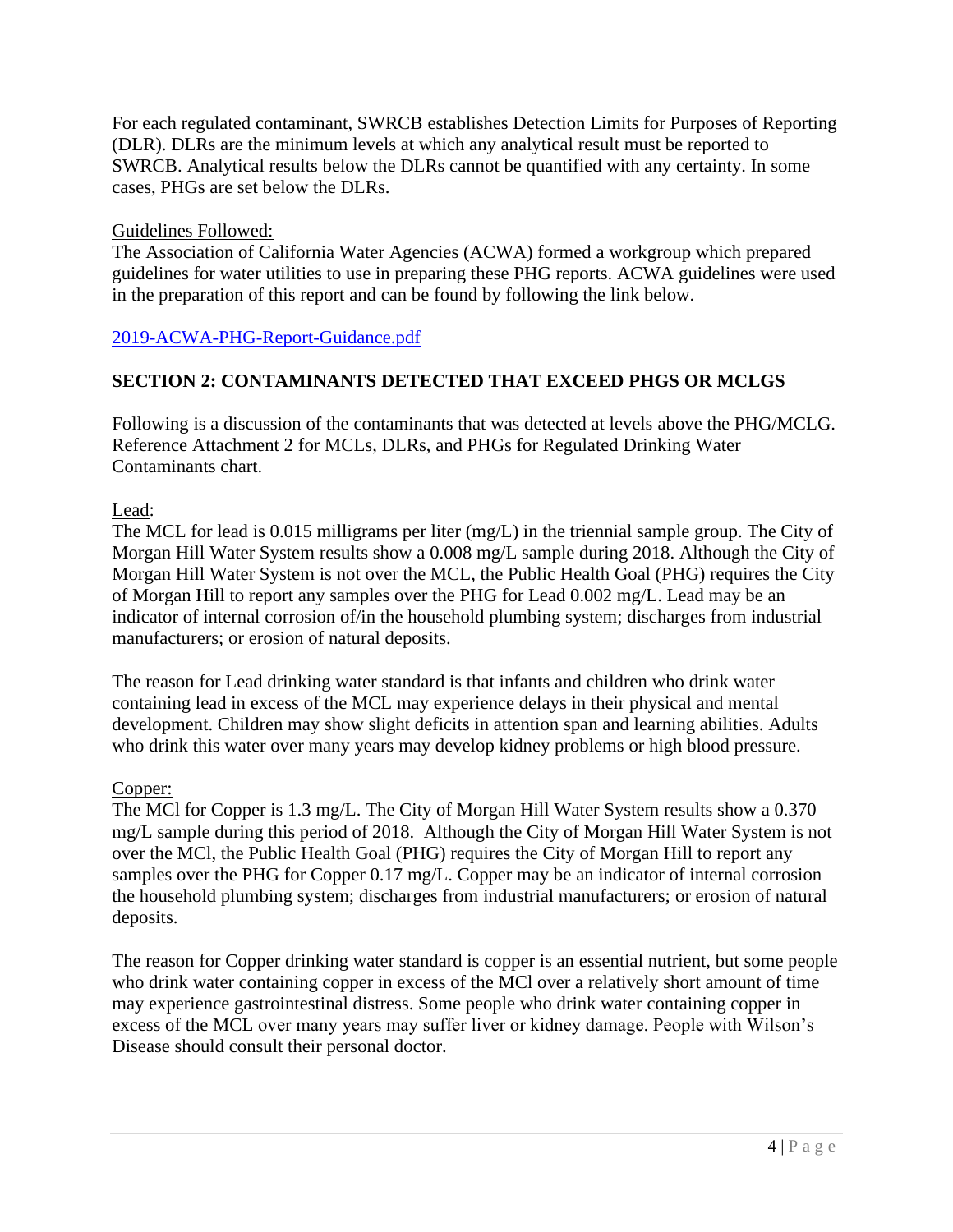For each regulated contaminant, SWRCB establishes Detection Limits for Purposes of Reporting (DLR). DLRs are the minimum levels at which any analytical result must be reported to SWRCB. Analytical results below the DLRs cannot be quantified with any certainty. In some cases, PHGs are set below the DLRs.

#### Guidelines Followed:

The Association of California Water Agencies (ACWA) formed a workgroup which prepared guidelines for water utilities to use in preparing these PHG reports. ACWA guidelines were used in the preparation of this report and can be found by following the link below.

#### <2019-ACWA-PHG-Report-Guidance.pdf>

### **SECTION 2: CONTAMINANTS DETECTED THAT EXCEED PHGS OR MCLGS**

Following is a discussion of the contaminants that was detected at levels above the PHG/MCLG. Reference Attachment 2 for MCLs, DLRs, and PHGs for Regulated Drinking Water Contaminants chart.

Lead:

The MCL for lead is 0.015 milligrams per liter (mg/L) in the triennial sample group. The City of Morgan Hill Water System results show a 0.008 mg/L sample during 2018. Although the City of Morgan Hill Water System is not over the MCL, the Public Health Goal (PHG) requires the City of Morgan Hill to report any samples over the PHG for Lead 0.002 mg/L. Lead may be an indicator of internal corrosion of/in the household plumbing system; discharges from industrial manufacturers; or erosion of natural deposits.

The reason for Lead drinking water standard is that infants and children who drink water containing lead in excess of the MCL may experience delays in their physical and mental development. Children may show slight deficits in attention span and learning abilities. Adults who drink this water over many years may develop kidney problems or high blood pressure.

#### Copper:

The MCl for Copper is 1.3 mg/L. The City of Morgan Hill Water System results show a 0.370 mg/L sample during this period of 2018. Although the City of Morgan Hill Water System is not over the MCl, the Public Health Goal (PHG) requires the City of Morgan Hill to report any samples over the PHG for Copper 0.17 mg/L. Copper may be an indicator of internal corrosion the household plumbing system; discharges from industrial manufacturers; or erosion of natural deposits.

The reason for Copper drinking water standard is copper is an essential nutrient, but some people who drink water containing copper in excess of the MCl over a relatively short amount of time may experience gastrointestinal distress. Some people who drink water containing copper in excess of the MCL over many years may suffer liver or kidney damage. People with Wilson's Disease should consult their personal doctor.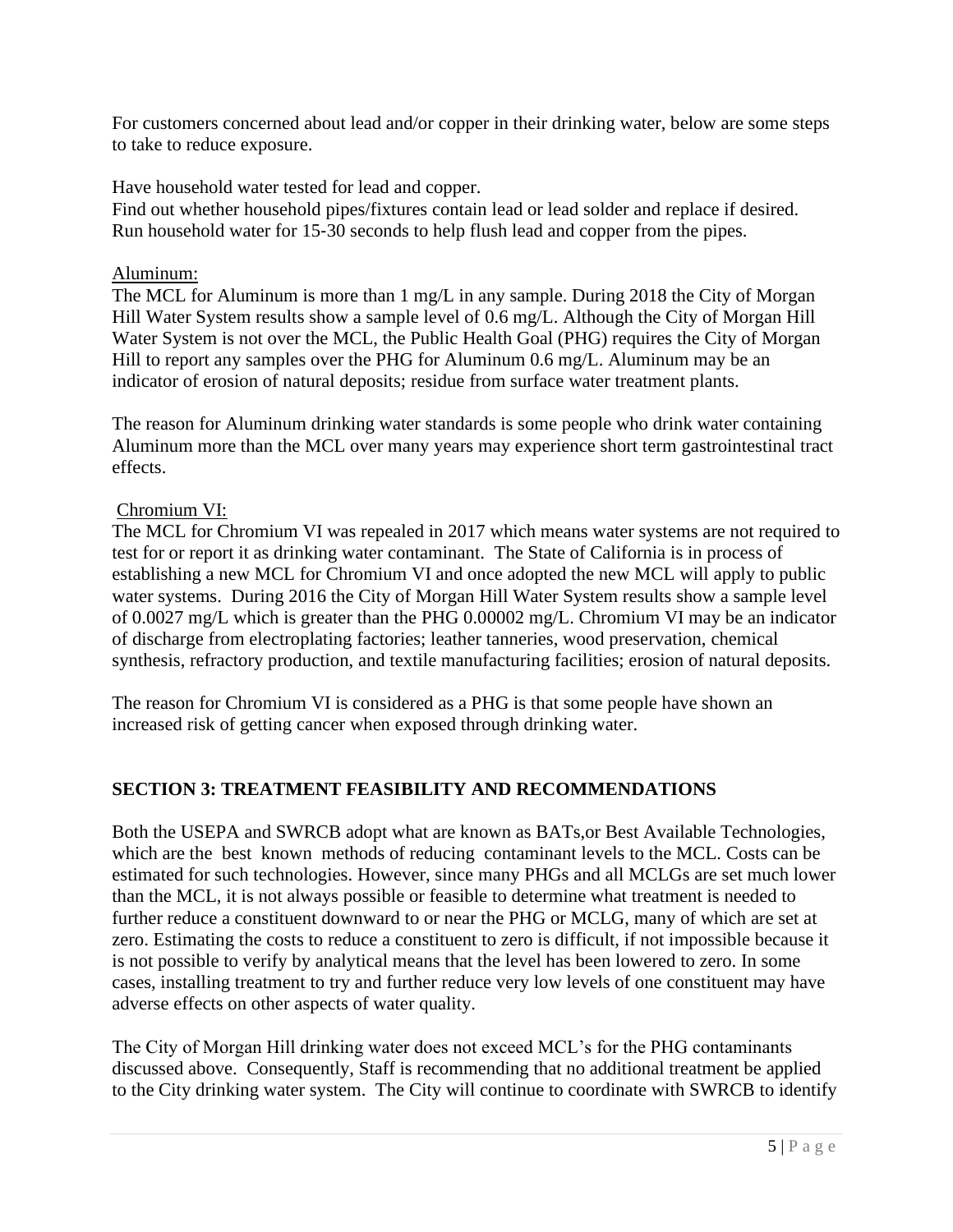For customers concerned about lead and/or copper in their drinking water, below are some steps to take to reduce exposure.

Have household water tested for lead and copper.

Find out whether household pipes/fixtures contain lead or lead solder and replace if desired. Run household water for 15‐30 seconds to help flush lead and copper from the pipes.

#### Aluminum:

The MCL for Aluminum is more than 1 mg/L in any sample. During 2018 the City of Morgan Hill Water System results show a sample level of 0.6 mg/L. Although the City of Morgan Hill Water System is not over the MCL, the Public Health Goal (PHG) requires the City of Morgan Hill to report any samples over the PHG for Aluminum 0.6 mg/L. Aluminum may be an indicator of erosion of natural deposits; residue from surface water treatment plants.

The reason for Aluminum drinking water standards is some people who drink water containing Aluminum more than the MCL over many years may experience short term gastrointestinal tract effects.

#### Chromium VI:

The MCL for Chromium VI was repealed in 2017 which means water systems are not required to test for or report it as drinking water contaminant. The State of California is in process of establishing a new MCL for Chromium VI and once adopted the new MCL will apply to public water systems. During 2016 the City of Morgan Hill Water System results show a sample level of 0.0027 mg/L which is greater than the PHG 0.00002 mg/L. Chromium VI may be an indicator of discharge from electroplating factories; leather tanneries, wood preservation, chemical synthesis, refractory production, and textile manufacturing facilities; erosion of natural deposits.

The reason for Chromium VI is considered as a PHG is that some people have shown an increased risk of getting cancer when exposed through drinking water.

#### **SECTION 3: TREATMENT FEASIBILITY AND RECOMMENDATIONS**

Both the USEPA and SWRCB adopt what are known as BATs,or Best Available Technologies, which are the best known methods of reducing contaminant levels to the MCL. Costs can be estimated for such technologies. However, since many PHGs and all MCLGs are set much lower than the MCL, it is not always possible or feasible to determine what treatment is needed to further reduce a constituent downward to or near the PHG or MCLG, many of which are set at zero. Estimating the costs to reduce a constituent to zero is difficult, if not impossible because it is not possible to verify by analytical means that the level has been lowered to zero. In some cases, installing treatment to try and further reduce very low levels of one constituent may have adverse effects on other aspects of water quality.

The City of Morgan Hill drinking water does not exceed MCL's for the PHG contaminants discussed above. Consequently, Staff is recommending that no additional treatment be applied to the City drinking water system. The City will continue to coordinate with SWRCB to identify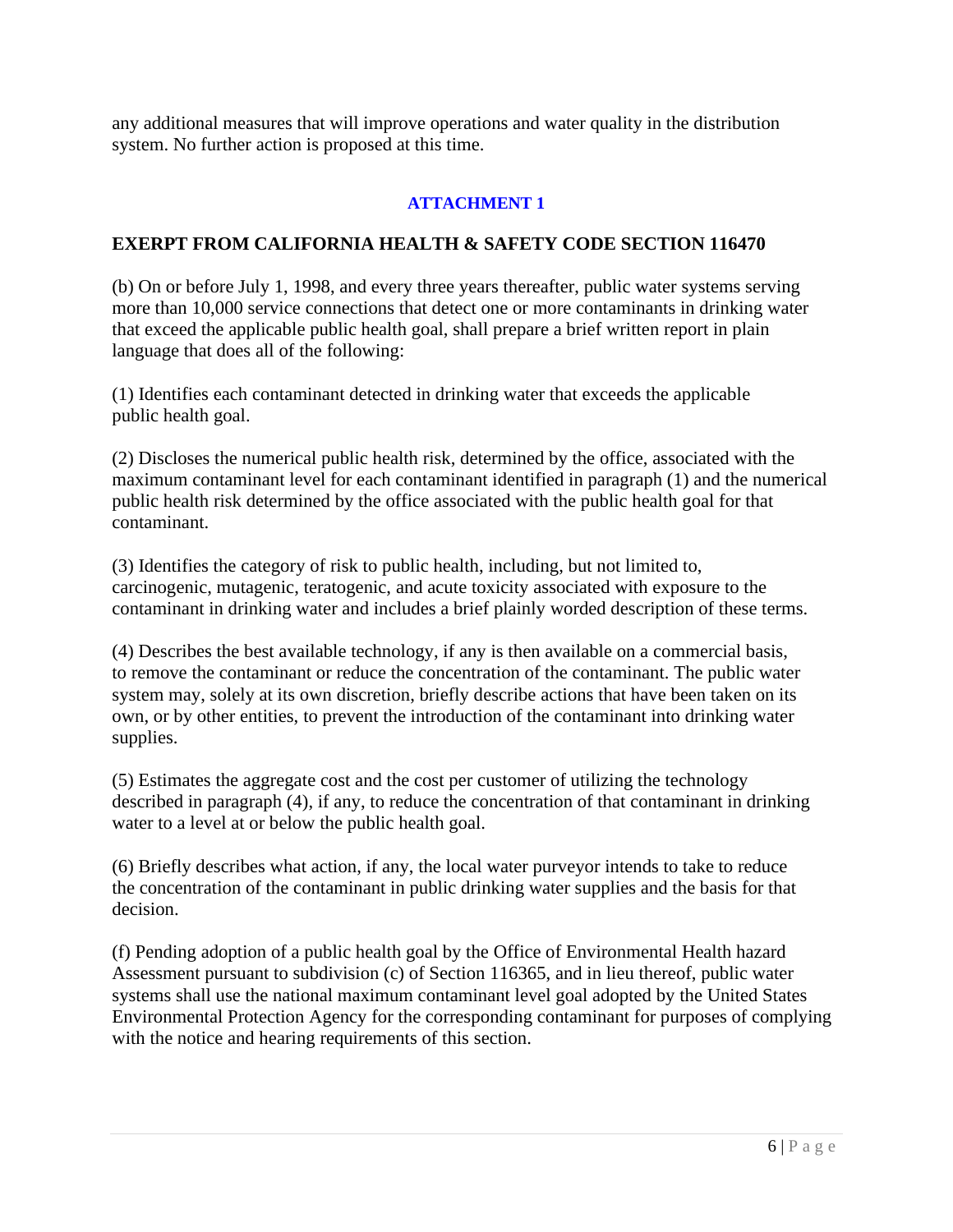any additional measures that will improve operations and water quality in the distribution system. No further action is proposed at this time.

#### **ATTACHMENT 1**

#### **EXERPT FROM CALIFORNIA HEALTH & SAFETY CODE SECTION 116470**

(b) On or before July 1, 1998, and every three years thereafter, public water systems serving more than 10,000 service connections that detect one or more contaminants in drinking water that exceed the applicable public health goal, shall prepare a brief written report in plain language that does all of the following:

(1) Identifies each contaminant detected in drinking water that exceeds the applicable public health goal.

(2) Discloses the numerical public health risk, determined by the office, associated with the maximum contaminant level for each contaminant identified in paragraph (1) and the numerical public health risk determined by the office associated with the public health goal for that contaminant.

(3) Identifies the category of risk to public health, including, but not limited to, carcinogenic, mutagenic, teratogenic, and acute toxicity associated with exposure to the contaminant in drinking water and includes a brief plainly worded description of these terms.

(4) Describes the best available technology, if any is then available on a commercial basis, to remove the contaminant or reduce the concentration of the contaminant. The public water system may, solely at its own discretion, briefly describe actions that have been taken on its own, or by other entities, to prevent the introduction of the contaminant into drinking water supplies.

(5) Estimates the aggregate cost and the cost per customer of utilizing the technology described in paragraph (4), if any, to reduce the concentration of that contaminant in drinking water to a level at or below the public health goal.

(6) Briefly describes what action, if any, the local water purveyor intends to take to reduce the concentration of the contaminant in public drinking water supplies and the basis for that decision.

(f) Pending adoption of a public health goal by the Office of Environmental Health hazard Assessment pursuant to subdivision (c) of Section 116365, and in lieu thereof, public water systems shall use the national maximum contaminant level goal adopted by the United States Environmental Protection Agency for the corresponding contaminant for purposes of complying with the notice and hearing requirements of this section.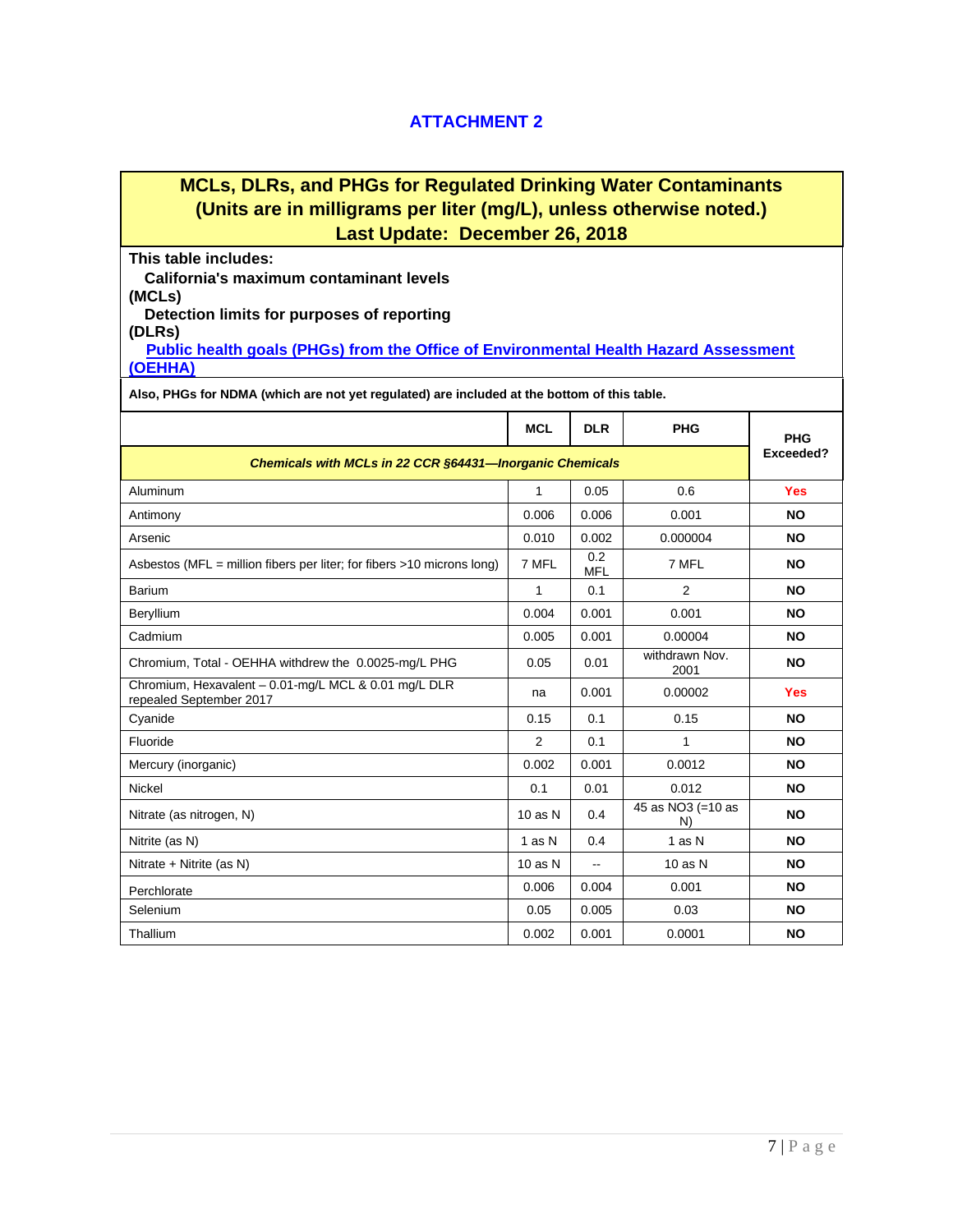#### **ATTACHMENT 2**

## **MCLs, DLRs, and PHGs for Regulated Drinking Water Contaminants (Units are in milligrams per liter (mg/L), unless otherwise noted.) Last Update: December 26, 2018**

#### **This table includes:**

**California's maximum contaminant levels** 

**(MCLs) Detection limits for purposes of reporting** 

**(DLRs)**

**[Public health goals \(PHGs\) from the Office of Environmental Health Hazard Assessment](http://www.oehha.ca.gov/water/phg/allphgs.html)  [\(OEHHA\)](http://www.oehha.ca.gov/water/phg/allphgs.html)**

**Also, PHGs for NDMA (which are not yet regulated) are included at the bottom of this table.**

|                                                                                 | <b>MCL</b>     | <b>DLR</b>        | <b>PHG</b>              | <b>PHG</b> |
|---------------------------------------------------------------------------------|----------------|-------------------|-------------------------|------------|
| Chemicals with MCLs in 22 CCR §64431-Inorganic Chemicals                        |                |                   |                         |            |
| Aluminum                                                                        | 1              | 0.05              | 0.6                     | <b>Yes</b> |
| Antimony                                                                        | 0.006          | 0.006             | 0.001                   | <b>NO</b>  |
| Arsenic                                                                         | 0.010          | 0.002             | 0.000004                | <b>NO</b>  |
| Asbestos ( $MFL =$ million fibers per liter; for fibers >10 microns long)       | 7 MFL          | 0.2<br><b>MFL</b> | 7 MFL                   | <b>NO</b>  |
| <b>Barium</b>                                                                   | 1              | 0.1               | $\overline{2}$          | <b>NO</b>  |
| Beryllium                                                                       | 0.004          | 0.001             | 0.001                   | <b>NO</b>  |
| Cadmium                                                                         | 0.005          | 0.001             | 0.00004                 | <b>NO</b>  |
| Chromium, Total - OEHHA withdrew the 0.0025-mg/L PHG                            | 0.05           | 0.01              | withdrawn Nov.<br>2001  | <b>NO</b>  |
| Chromium, Hexavalent - 0.01-mg/L MCL & 0.01 mg/L DLR<br>repealed September 2017 | na             | 0.001             | 0.00002                 | <b>Yes</b> |
| Cyanide                                                                         | 0.15           | 0.1               | 0.15                    | <b>NO</b>  |
| Fluoride                                                                        | $\overline{2}$ | 0.1               | 1                       | <b>NO</b>  |
| Mercury (inorganic)                                                             | 0.002          | 0.001             | 0.0012                  | <b>NO</b>  |
| Nickel                                                                          | 0.1            | 0.01              | 0.012                   | <b>NO</b>  |
| Nitrate (as nitrogen, N)                                                        | $10$ as N      | 0.4               | 45 as NO3 (=10 as<br>N) | <b>NO</b>  |
| Nitrite (as N)                                                                  | 1 as N         | 0.4               | 1 as N                  | <b>NO</b>  |
| Nitrate + Nitrite (as N)                                                        | $10$ as $N$    | $\overline{a}$    | $10$ as $N$             | <b>NO</b>  |
| Perchlorate                                                                     | 0.006          | 0.004             | 0.001                   | <b>NO</b>  |
| Selenium                                                                        | 0.05           | 0.005             | 0.03                    | <b>NO</b>  |
| Thallium                                                                        | 0.002          | 0.001             | 0.0001                  | <b>NO</b>  |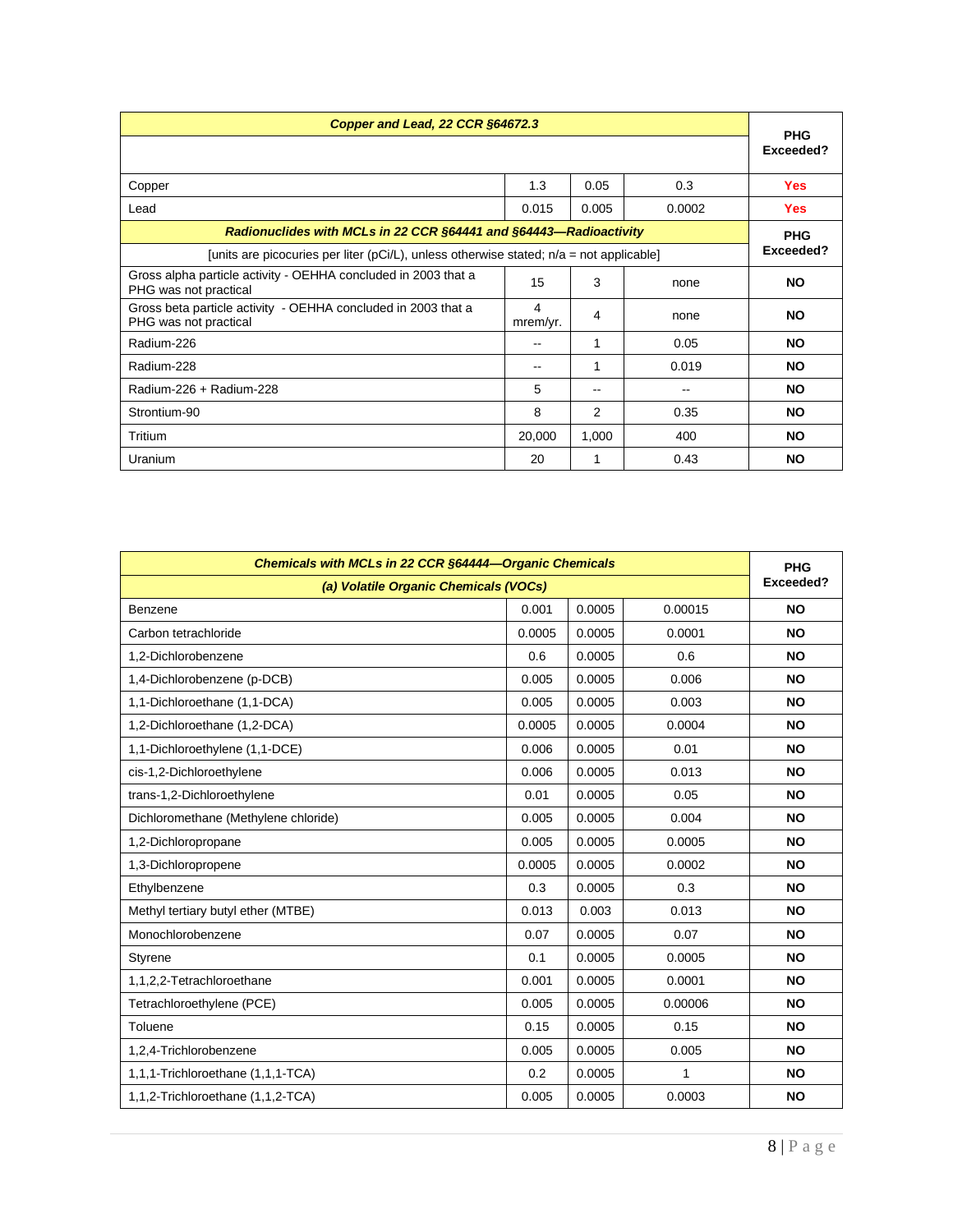| Copper and Lead, 22 CCR §64672.3                                                          |               |       |        |                         |
|-------------------------------------------------------------------------------------------|---------------|-------|--------|-------------------------|
|                                                                                           |               |       |        | <b>PHG</b><br>Exceeded? |
| Copper                                                                                    | 1.3           | 0.05  | 0.3    | <b>Yes</b>              |
| Lead                                                                                      | 0.015         | 0.005 | 0.0002 | <b>Yes</b>              |
| Radionuclides with MCLs in 22 CCR §64441 and §64443-Radioactivity                         |               |       |        | <b>PHG</b>              |
| [units are picocuries per liter (pCi/L), unless otherwise stated; $n/a = not$ applicable] |               |       |        | Exceeded?               |
| Gross alpha particle activity - OEHHA concluded in 2003 that a<br>PHG was not practical   | 15            | 3     | none   | <b>NO</b>               |
| Gross beta particle activity - OEHHA concluded in 2003 that a<br>PHG was not practical    | 4<br>mrem/yr. | 4     | none   | <b>NO</b>               |
| Radium-226                                                                                | --            | 1     | 0.05   | <b>NO</b>               |
| Radium-228                                                                                | --            | 1     | 0.019  | <b>NO</b>               |
| Radium-226 + Radium-228                                                                   | 5             | $- -$ | --     | <b>NO</b>               |
| Strontium-90                                                                              | 8             | 2     | 0.35   | <b>NO</b>               |
| Tritium                                                                                   | 20,000        | 1,000 | 400    | <b>NO</b>               |
| Uranium                                                                                   | 20            |       | 0.43   | <b>NO</b>               |

| Chemicals with MCLs in 22 CCR §64444-Organic Chemicals |        |        |              | <b>PHG</b> |
|--------------------------------------------------------|--------|--------|--------------|------------|
| (a) Volatile Organic Chemicals (VOCs)                  |        |        |              |            |
| Benzene                                                | 0.001  | 0.0005 | 0.00015      | <b>NO</b>  |
| Carbon tetrachloride                                   | 0.0005 | 0.0005 | 0.0001       | <b>NO</b>  |
| 1,2-Dichlorobenzene                                    | 0.6    | 0.0005 | 0.6          | <b>NO</b>  |
| 1,4-Dichlorobenzene (p-DCB)                            | 0.005  | 0.0005 | 0.006        | <b>NO</b>  |
| 1,1-Dichloroethane (1,1-DCA)                           | 0.005  | 0.0005 | 0.003        | <b>NO</b>  |
| 1,2-Dichloroethane (1,2-DCA)                           | 0.0005 | 0.0005 | 0.0004       | <b>NO</b>  |
| 1,1-Dichloroethylene (1,1-DCE)                         | 0.006  | 0.0005 | 0.01         | <b>NO</b>  |
| cis-1,2-Dichloroethylene                               | 0.006  | 0.0005 | 0.013        | <b>NO</b>  |
| trans-1,2-Dichloroethylene                             | 0.01   | 0.0005 | 0.05         | <b>NO</b>  |
| Dichloromethane (Methylene chloride)                   | 0.005  | 0.0005 | 0.004        | <b>NO</b>  |
| 1,2-Dichloropropane                                    | 0.005  | 0.0005 | 0.0005       | <b>NO</b>  |
| 1,3-Dichloropropene                                    | 0.0005 | 0.0005 | 0.0002       | <b>NO</b>  |
| Ethylbenzene                                           | 0.3    | 0.0005 | 0.3          | <b>NO</b>  |
| Methyl tertiary butyl ether (MTBE)                     | 0.013  | 0.003  | 0.013        | <b>NO</b>  |
| Monochlorobenzene                                      | 0.07   | 0.0005 | 0.07         | <b>NO</b>  |
| Styrene                                                | 0.1    | 0.0005 | 0.0005       | <b>NO</b>  |
| 1,1,2,2-Tetrachloroethane                              | 0.001  | 0.0005 | 0.0001       | <b>NO</b>  |
| Tetrachloroethylene (PCE)                              | 0.005  | 0.0005 | 0.00006      | <b>NO</b>  |
| Toluene                                                | 0.15   | 0.0005 | 0.15         | <b>NO</b>  |
| 1,2,4-Trichlorobenzene                                 | 0.005  | 0.0005 | 0.005        | <b>NO</b>  |
| 1,1,1-Trichloroethane (1,1,1-TCA)                      | 0.2    | 0.0005 | $\mathbf{1}$ | <b>NO</b>  |
| 1,1,2-Trichloroethane (1,1,2-TCA)                      | 0.005  | 0.0005 | 0.0003       | <b>NO</b>  |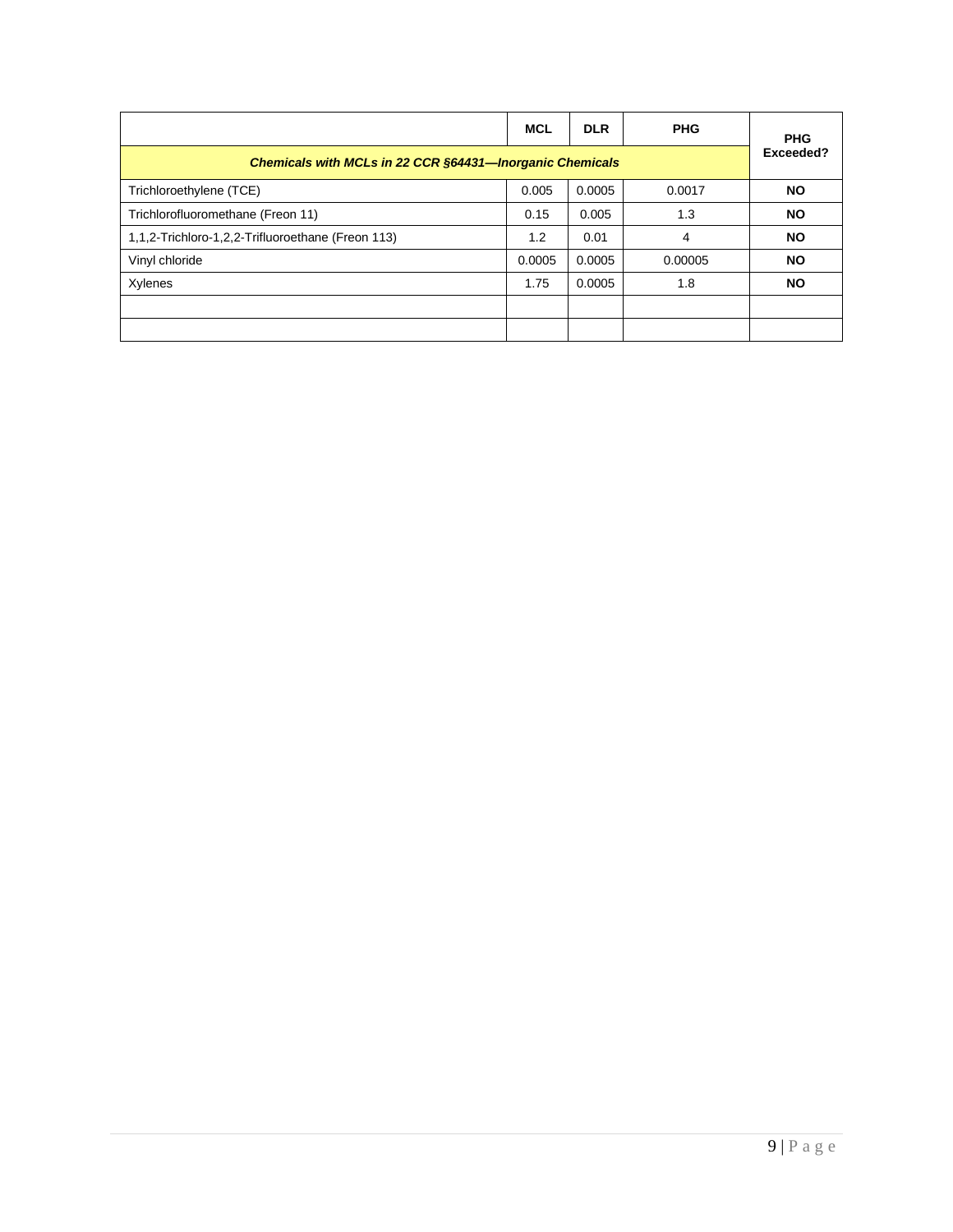|                                                          | <b>MCL</b> | <b>DLR</b> | <b>PHG</b> | <b>PHG</b> |
|----------------------------------------------------------|------------|------------|------------|------------|
| Chemicals with MCLs in 22 CCR §64431-Inorganic Chemicals |            |            |            | Exceeded?  |
| Trichloroethylene (TCE)                                  | 0.005      | 0.0005     | 0.0017     | <b>NO</b>  |
| Trichlorofluoromethane (Freon 11)                        | 0.15       | 0.005      | 1.3        | <b>NO</b>  |
| 1,1,2-Trichloro-1,2,2-Trifluoroethane (Freon 113)        | 1.2        | 0.01       | 4          | <b>NO</b>  |
| Vinyl chloride                                           | 0.0005     | 0.0005     | 0.00005    | <b>NO</b>  |
| Xylenes                                                  | 1.75       | 0.0005     | 1.8        | <b>NO</b>  |
|                                                          |            |            |            |            |
|                                                          |            |            |            |            |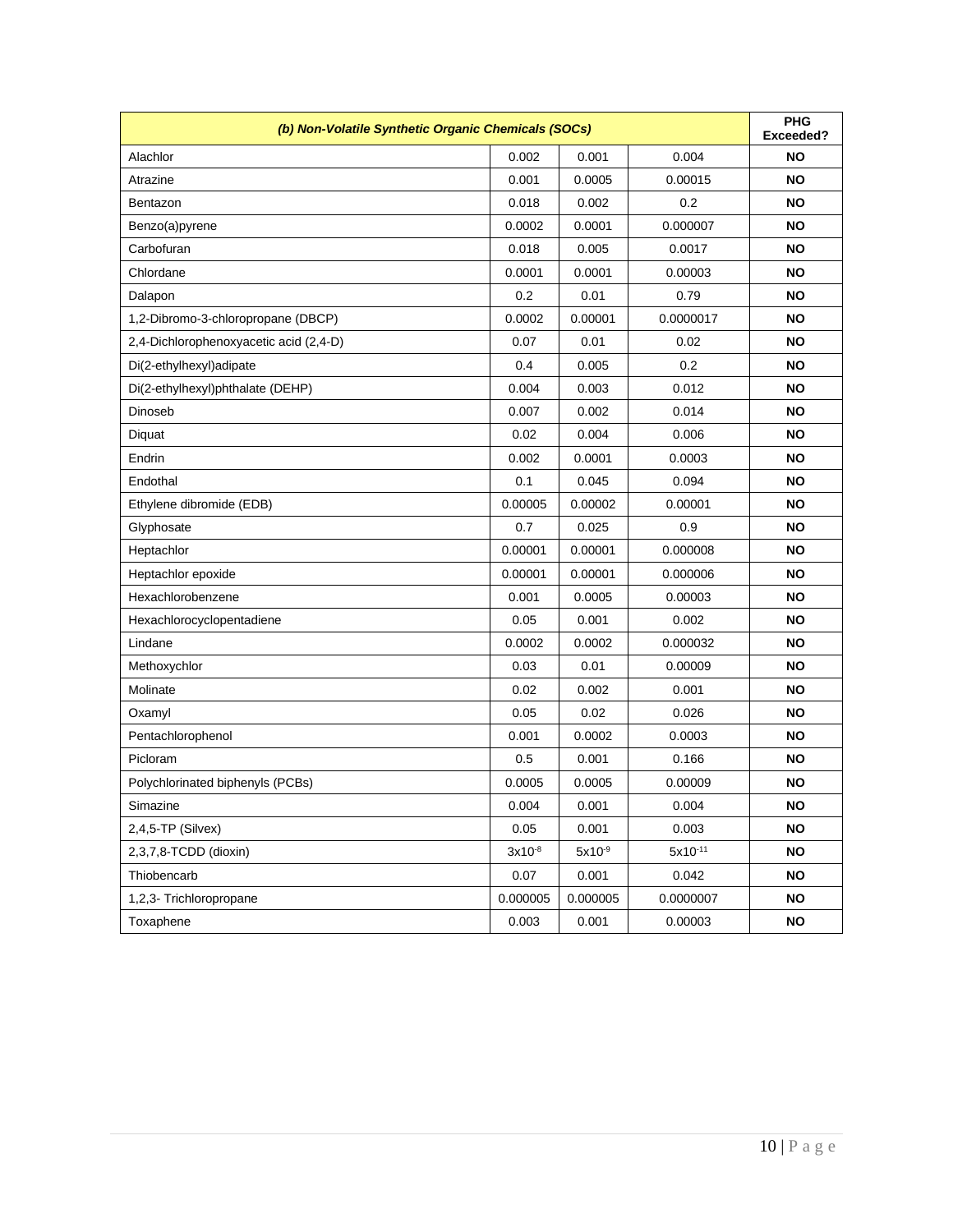| (b) Non-Volatile Synthetic Organic Chemicals (SOCs) |             |             |              | <b>PHG</b><br>Exceeded? |
|-----------------------------------------------------|-------------|-------------|--------------|-------------------------|
| Alachlor                                            | 0.002       | 0.001       | 0.004        | <b>NO</b>               |
| Atrazine                                            | 0.001       | 0.0005      | 0.00015      | <b>NO</b>               |
| Bentazon                                            | 0.018       | 0.002       | 0.2          | <b>NO</b>               |
| Benzo(a)pyrene                                      | 0.0002      | 0.0001      | 0.000007     | <b>NO</b>               |
| Carbofuran                                          | 0.018       | 0.005       | 0.0017       | NO                      |
| Chlordane                                           | 0.0001      | 0.0001      | 0.00003      | NO                      |
| Dalapon                                             | 0.2         | 0.01        | 0.79         | NO                      |
| 1,2-Dibromo-3-chloropropane (DBCP)                  | 0.0002      | 0.00001     | 0.0000017    | NO                      |
| 2,4-Dichlorophenoxyacetic acid (2,4-D)              | 0.07        | 0.01        | 0.02         | NO                      |
| Di(2-ethylhexyl)adipate                             | 0.4         | 0.005       | 0.2          | NO                      |
| Di(2-ethylhexyl)phthalate (DEHP)                    | 0.004       | 0.003       | 0.012        | NO                      |
| Dinoseb                                             | 0.007       | 0.002       | 0.014        | NO                      |
| Diquat                                              | 0.02        | 0.004       | 0.006        | NO                      |
| Endrin                                              | 0.002       | 0.0001      | 0.0003       | NO                      |
| Endothal                                            | 0.1         | 0.045       | 0.094        | NO                      |
| Ethylene dibromide (EDB)                            | 0.00005     | 0.00002     | 0.00001      | NO                      |
| Glyphosate                                          | 0.7         | 0.025       | 0.9          | NO                      |
| Heptachlor                                          | 0.00001     | 0.00001     | 0.000008     | NO                      |
| Heptachlor epoxide                                  | 0.00001     | 0.00001     | 0.000006     | NO                      |
| Hexachlorobenzene                                   | 0.001       | 0.0005      | 0.00003      | NO                      |
| Hexachlorocyclopentadiene                           | 0.05        | 0.001       | 0.002        | NO                      |
| Lindane                                             | 0.0002      | 0.0002      | 0.000032     | NO                      |
| Methoxychlor                                        | 0.03        | 0.01        | 0.00009      | NO                      |
| Molinate                                            | 0.02        | 0.002       | 0.001        | NO                      |
| Oxamyl                                              | 0.05        | 0.02        | 0.026        | NO                      |
| Pentachlorophenol                                   | 0.001       | 0.0002      | 0.0003       | NO                      |
| Picloram                                            | 0.5         | 0.001       | 0.166        | NO                      |
| Polychlorinated biphenyls (PCBs)                    | 0.0005      | 0.0005      | 0.00009      | NO                      |
| Simazine                                            | 0.004       | 0.001       | 0.004        | <b>NO</b>               |
| $2,4,5$ -TP (Silvex)                                | 0.05        | 0.001       | 0.003        | NO                      |
| 2,3,7,8-TCDD (dioxin)                               | $3x10^{-8}$ | $5x10^{-9}$ | $5x10^{-11}$ | <b>NO</b>               |
| Thiobencarb                                         | 0.07        | 0.001       | 0.042        | <b>NO</b>               |
| 1,2,3- Trichloropropane                             | 0.000005    | 0.000005    | 0.0000007    | <b>NO</b>               |
| Toxaphene                                           | 0.003       | 0.001       | 0.00003      | <b>NO</b>               |